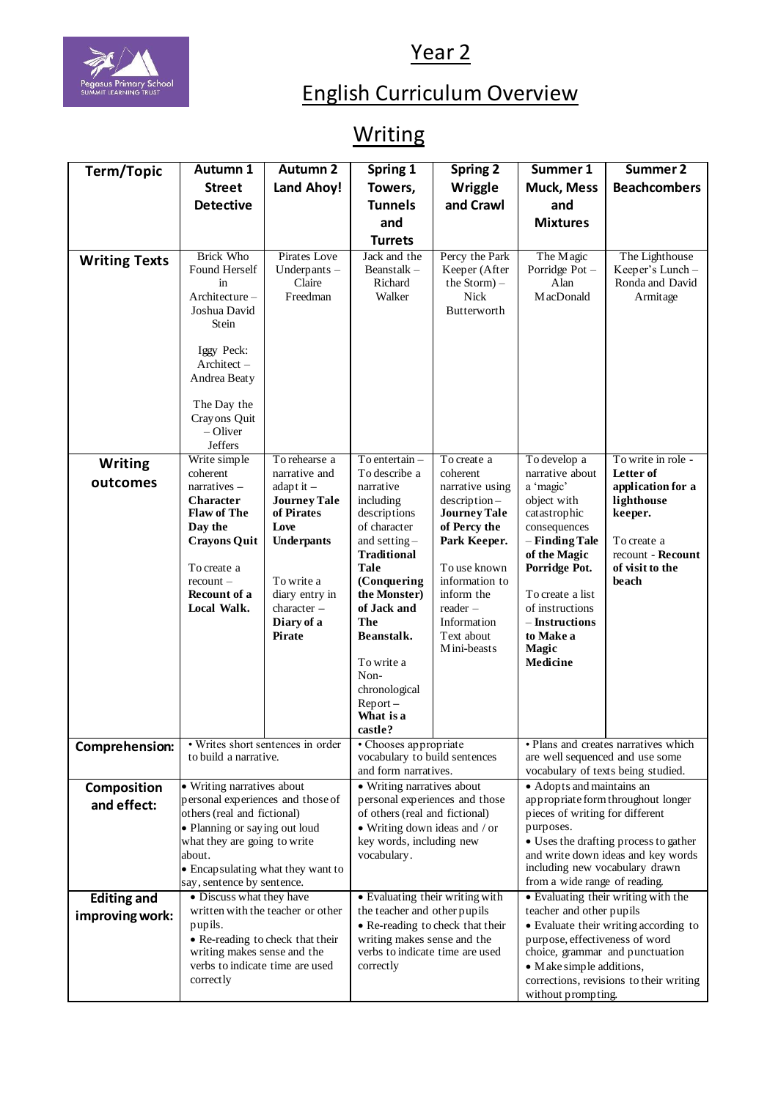

## Year 2

## English Curriculum Overview

## **Writing**

| Term/Topic           | Autumn 1                                                                                                                                                                                  | <b>Autumn 2</b>                                   | Spring 1                                                         | <b>Spring 2</b>                                                                  | Summer 1                                                                | Summer 2                                                          |  |
|----------------------|-------------------------------------------------------------------------------------------------------------------------------------------------------------------------------------------|---------------------------------------------------|------------------------------------------------------------------|----------------------------------------------------------------------------------|-------------------------------------------------------------------------|-------------------------------------------------------------------|--|
|                      | <b>Street</b>                                                                                                                                                                             | Land Ahoy!                                        | Towers,                                                          | Wriggle                                                                          | <b>Muck, Mess</b>                                                       | <b>Beachcombers</b>                                               |  |
|                      | <b>Detective</b>                                                                                                                                                                          |                                                   | <b>Tunnels</b>                                                   | and Crawl                                                                        | and                                                                     |                                                                   |  |
|                      |                                                                                                                                                                                           |                                                   | and                                                              |                                                                                  | <b>Mixtures</b>                                                         |                                                                   |  |
|                      |                                                                                                                                                                                           |                                                   | <b>Turrets</b>                                                   |                                                                                  |                                                                         |                                                                   |  |
| <b>Writing Texts</b> | <b>Brick Who</b><br>Found Herself<br>in<br>$Architecture -$<br>Joshua David<br>Stein<br>Iggy Peck:<br>Architect -<br>Andrea Beaty<br>The Day the<br>Crayons Quit<br>$-$ Oliver<br>Jeffers | Pirates Love<br>Underpants-<br>Claire<br>Freedman | Jack and the<br>Beanstalk-<br>Richard<br>Walker                  | Percy the Park<br>Keeper (After<br>the $Storm$ ) -<br><b>Nick</b><br>Butterworth | The Magic<br>Porridge Pot-<br>Alan<br>MacDonald                         | The Lighthouse<br>Keeper's Lunch -<br>Ronda and David<br>Armitage |  |
| <b>Writing</b>       | Write simple<br>coherent                                                                                                                                                                  | To rehearse a<br>narrative and                    | $To$ entertain $-$<br>To describe a                              | To create a<br>coherent                                                          | To develop a<br>narrative about                                         | To write in role -<br>Letter of                                   |  |
| outcomes             | narratives -                                                                                                                                                                              | adapt it $-$                                      | narrative                                                        | narrative using                                                                  | a 'magic'                                                               | application for a                                                 |  |
|                      | <b>Character</b><br><b>Flaw of The</b>                                                                                                                                                    | <b>Journey Tale</b><br>of Pirates                 | including<br>descriptions                                        | $description-$<br><b>Journey Tale</b>                                            | object with<br>catastrophic                                             | lighthouse<br>keeper.                                             |  |
|                      | Day the                                                                                                                                                                                   | Love                                              | of character                                                     | of Percy the                                                                     | consequences                                                            |                                                                   |  |
|                      | <b>Crayons Quit</b>                                                                                                                                                                       | Underpants                                        | and setting $-$<br><b>Traditional</b>                            | Park Keeper.                                                                     | – Finding Tale<br>of the Magic                                          | To create a<br>recount - Recount                                  |  |
|                      | To create a<br>$recount -$                                                                                                                                                                | To write a                                        | Tale<br>(Conquering                                              | To use known<br>information to                                                   | Porridge Pot.                                                           | of visit to the<br>beach                                          |  |
|                      | Recount of a                                                                                                                                                                              | diary entry in                                    | the Monster)                                                     | inform the                                                                       | To create a list                                                        |                                                                   |  |
|                      | Local Walk.                                                                                                                                                                               | character -<br>Diary of a                         | of Jack and<br><b>The</b>                                        | $reader -$<br>Information                                                        | of instructions<br>– Instructions                                       |                                                                   |  |
|                      |                                                                                                                                                                                           | Pirate                                            | Beanstalk.                                                       | Text about                                                                       | to Make a                                                               |                                                                   |  |
|                      |                                                                                                                                                                                           |                                                   | To write a                                                       | Mini-beasts                                                                      | <b>Magic</b><br>Medicine                                                |                                                                   |  |
|                      |                                                                                                                                                                                           |                                                   | Non-                                                             |                                                                                  |                                                                         |                                                                   |  |
|                      |                                                                                                                                                                                           |                                                   | chronological                                                    |                                                                                  |                                                                         |                                                                   |  |
|                      |                                                                                                                                                                                           |                                                   | $Report -$<br>What is a                                          |                                                                                  |                                                                         |                                                                   |  |
|                      |                                                                                                                                                                                           |                                                   | castle?                                                          |                                                                                  |                                                                         |                                                                   |  |
| Comprehension:       | · Writes short sentences in order<br>to build a narrative.                                                                                                                                |                                                   | • Chooses appropriate<br>vocabulary to build sentences           |                                                                                  | · Plans and creates narratives which<br>are well sequenced and use some |                                                                   |  |
|                      |                                                                                                                                                                                           |                                                   | and form narratives.                                             |                                                                                  | vocabulary of texts being studied.                                      |                                                                   |  |
| Composition          |                                                                                                                                                                                           | • Writing narratives about                        |                                                                  | • Writing narratives about                                                       |                                                                         | • Adopts and maintains an                                         |  |
| and effect:          | personal experiences and those of<br>others (real and fictional)                                                                                                                          |                                                   | personal experiences and those<br>of others (real and fictional) |                                                                                  | appropriate form throughout longer<br>pieces of writing for different   |                                                                   |  |
|                      | • Planning or saying out loud                                                                                                                                                             |                                                   | $\bullet$ Writing down ideas and / or                            |                                                                                  | purposes.                                                               |                                                                   |  |
|                      | what they are going to write                                                                                                                                                              |                                                   | key words, including new                                         |                                                                                  | • Uses the drafting process to gather                                   |                                                                   |  |
|                      | about.<br>• Encapsulating what they want to                                                                                                                                               |                                                   | vocabulary.                                                      |                                                                                  | and write down ideas and key words<br>including new vocabulary drawn    |                                                                   |  |
|                      | say, sentence by sentence.                                                                                                                                                                |                                                   |                                                                  |                                                                                  | from a wide range of reading.                                           |                                                                   |  |
| <b>Editing and</b>   | • Discuss what they have<br>written with the teacher or other                                                                                                                             |                                                   | • Evaluating their writing with<br>the teacher and other pupils  |                                                                                  | • Evaluating their writing with the<br>teacher and other pupils         |                                                                   |  |
| improving work:      | pupils.                                                                                                                                                                                   |                                                   | • Re-reading to check that their                                 |                                                                                  | • Evaluate their writing according to                                   |                                                                   |  |
|                      |                                                                                                                                                                                           |                                                   | writing makes sense and the                                      |                                                                                  | purpose, effectiveness of word                                          |                                                                   |  |
|                      | • Re-reading to check that their                                                                                                                                                          |                                                   |                                                                  |                                                                                  |                                                                         |                                                                   |  |
|                      | writing makes sense and the<br>verbs to indicate time are used                                                                                                                            |                                                   | verbs to indicate time are used<br>correctly                     |                                                                                  | • Make simple additions,                                                | choice, grammar and punctuation                                   |  |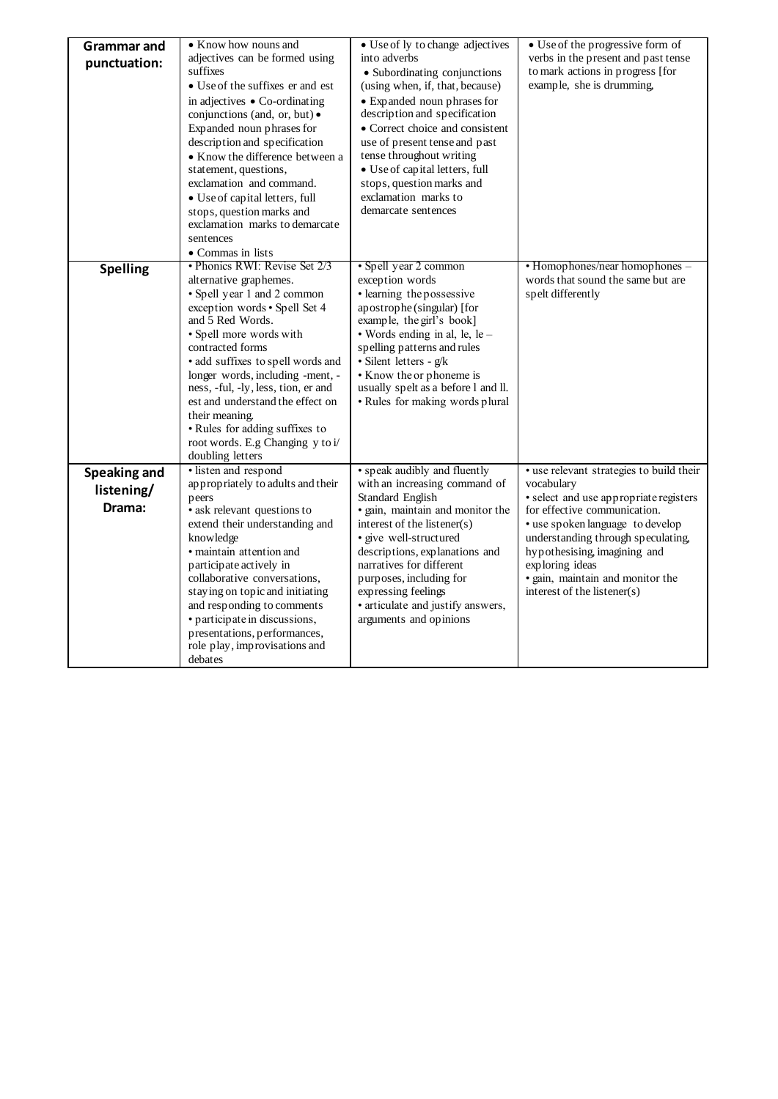| <b>Grammar and</b>  | • Know how nouns and                                           | • Use of ly to change adjectives                             | • Use of the progressive form of                     |  |
|---------------------|----------------------------------------------------------------|--------------------------------------------------------------|------------------------------------------------------|--|
| punctuation:        | adjectives can be formed using                                 | into adverbs                                                 | verbs in the present and past tense                  |  |
|                     | suffixes                                                       | • Subordinating conjunctions                                 | to mark actions in progress [for                     |  |
|                     | • Use of the suffixes er and est                               | (using when, if, that, because)                              | example, she is drumming,                            |  |
|                     | in adjectives • Co-ordinating<br>conjunctions (and, or, but) • | • Expanded noun phrases for<br>description and specification |                                                      |  |
|                     | Expanded noun phrases for                                      | • Correct choice and consistent                              |                                                      |  |
|                     | description and specification                                  | use of present tense and past                                |                                                      |  |
|                     | • Know the difference between a                                | tense throughout writing                                     |                                                      |  |
|                     | statement, questions,                                          | • Use of capital letters, full                               |                                                      |  |
|                     | exclamation and command.                                       | stops, question marks and                                    |                                                      |  |
|                     | • Use of capital letters, full                                 | exclamation marks to                                         |                                                      |  |
|                     | stops, question marks and                                      | demarcate sentences                                          |                                                      |  |
|                     | exclamation marks to demarcate                                 |                                                              |                                                      |  |
|                     | sentences                                                      |                                                              |                                                      |  |
|                     | • Commas in lists                                              |                                                              |                                                      |  |
| <b>Spelling</b>     | • Phonics RWI: Revise Set 2/3                                  | · Spell year 2 common                                        | • Homophones/near homophones -                       |  |
|                     | alternative graphemes.                                         | exception words                                              | words that sound the same but are                    |  |
|                     | • Spell year 1 and 2 common                                    | • learning the possessive                                    | spelt differently                                    |  |
|                     | exception words • Spell Set 4<br>and 5 Red Words.              | apostrophe (singular) [for<br>example, the girl's book]      |                                                      |  |
|                     | · Spell more words with                                        | • Words ending in al, le, le -                               |                                                      |  |
|                     | contracted forms                                               | spelling patterns and rules                                  |                                                      |  |
|                     | · add suffixes to spell words and                              | · Silent letters - g/k                                       |                                                      |  |
|                     | longer words, including -ment, -                               | • Know the or phoneme is                                     |                                                      |  |
|                     | ness, -ful, -ly, less, tion, er and                            | usually spelt as a before 1 and ll.                          |                                                      |  |
|                     | est and understand the effect on                               | • Rules for making words plural                              |                                                      |  |
|                     | their meaning.                                                 |                                                              |                                                      |  |
|                     | • Rules for adding suffixes to                                 |                                                              |                                                      |  |
|                     | root words. E.g Changing y to i/                               |                                                              |                                                      |  |
|                     | doubling letters                                               |                                                              |                                                      |  |
| <b>Speaking and</b> | · listen and respond                                           | • speak audibly and fluently                                 | · use relevant strategies to build their             |  |
| listening/          | appropriately to adults and their<br>peers                     | with an increasing command of<br>Standard English            | vocabulary<br>· select and use appropriate registers |  |
| Drama:              | • ask relevant questions to                                    | · gain, maintain and monitor the                             | for effective communication.                         |  |
|                     | extend their understanding and                                 | interest of the listener(s)                                  | • use spoken language to develop                     |  |
|                     | knowledge                                                      | · give well-structured                                       | understanding through speculating,                   |  |
|                     | · maintain attention and                                       | descriptions, explanations and                               | hypothesising, imagining and                         |  |
|                     | participate actively in                                        | narratives for different                                     | exploring ideas                                      |  |
|                     | collaborative conversations,                                   | purposes, including for                                      | · gain, maintain and monitor the                     |  |
|                     | staying on topic and initiating                                | expressing feelings                                          | interest of the listener(s)                          |  |
|                     | and responding to comments                                     | • articulate and justify answers,                            |                                                      |  |
|                     | • participate in discussions,                                  | arguments and opinions                                       |                                                      |  |
|                     | presentations, performances,<br>role play, improvisations and  |                                                              |                                                      |  |
|                     | debates                                                        |                                                              |                                                      |  |
|                     |                                                                |                                                              |                                                      |  |